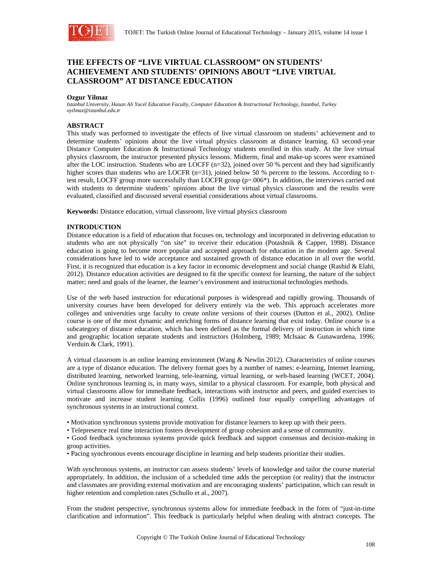

# **THE EFFECTS OF "LIVE VIRTUAL CLASSROOM" ON STUDENTS' ACHIEVEMENT AND STUDENTS' OPINIONS ABOUT "LIVE VIRTUAL CLASSROOM" AT DISTANCE EDUCATION**

#### **Ozgur Yilmaz**

*Istanbul University, Hasan Ali Yucel Education Faculty, Computer Education & Instructional Technology, Istanbul, Turkey oyilmaz@istanbul.edu.tr* 

# **ABSTRACT**

This study was performed to investigate the effects of live virtual classroom on students' achievement and to determine students' opinions about the live virtual physics classroom at distance learning. 63 second-year Distance Computer Education & Instructional Technology students enrolled in this study. At the live virtual physics classroom, the instructor presented physics lessons. Midterm, final and make-up scores were examined after the LOC instruction. Students who are LOCFF  $(n=32)$ , joined over 50 % percent and they had significantly higher scores than students who are LOCFR (n=31), joined below 50 % percent to the lessons. According to ttest result, LOCFF group more successfully than LOCFR group (p=.006\*). In addition, the interviews carried out with students to determine students' opinions about the live virtual physics classroom and the results were evaluated, classified and discussed several essential considerations about virtual classrooms.

**Keywords:** Distance education, virtual classroom, live virtual physics classroom

# **INTRODUCTION**

Distance education is a field of education that focuses on, technology and incorporated in delivering education to students who are not physically "on site" to receive their education (Potashnik & Capper, 1998). Distance education is going to become more popular and accepted approach for education in the modern age. Several considerations have led to wide acceptance and sustained growth of distance education in all over the world. First, it is recognized that education is a key factor in economic development and social change (Rashid & Elahi, 2012). Distance education activities are designed to fit the specific context for learning, the nature of the subject matter; need and goals of the learner, the learner's environment and instructional technologies methods.

Use of the web based instruction for educational purposes is widespread and rapidly growing. Thousands of university courses have been developed for delivery entirely via the web. This approach accelerates more colleges and universities urge faculty to create online versions of their courses (Dutton et al., 2002). Online course is one of the most dynamic and enriching forms of distance learning that exist today. Online course is a subcategory of distance education, which has been defined as the formal delivery of instruction in which time and geographic location separate students and instructors (Holmberg, 1989; McIsaac & Gunawardena, 1996; Verduin & Clark, 1991).

A virtual classroom is an online learning environment (Wang & Newlin 2012). Characteristics of online courses are a type of distance education. The delivery format goes by a number of names: e-learning, Internet learning, distributed learning, networked learning, tele-learning, virtual learning, or web-based learning (WCET, 2004). Online synchronous learning is, in many ways, similar to a physical classroom. For example, both physical and virtual classrooms allow for immediate feedback, interactions with instructor and peers, and guided exercises to motivate and increase student learning. Collis (1996) outlined four equally compelling advantages of synchronous systems in an instructional context.

- Motivation synchronous systems provide motivation for distance learners to keep up with their peers.
- Telepresence real time interaction fosters development of group cohesion and a sense of community.

• Good feedback synchronous systems provide quick feedback and support consensus and decision-making in group activities.

• Pacing synchronous events encourage discipline in learning and help students prioritize their studies.

With synchronous systems, an instructor can assess students' levels of knowledge and tailor the course material appropriately. In addition, the inclusion of a scheduled time adds the perception (or reality) that the instructor and classmates are providing external motivation and are encouraging students' participation, which can result in higher retention and completion rates (Schullo et al., 2007).

From the student perspective, synchronous systems allow for immediate feedback in the form of "just-in-time clarification and information". This feedback is particularly helpful when dealing with abstract concepts. The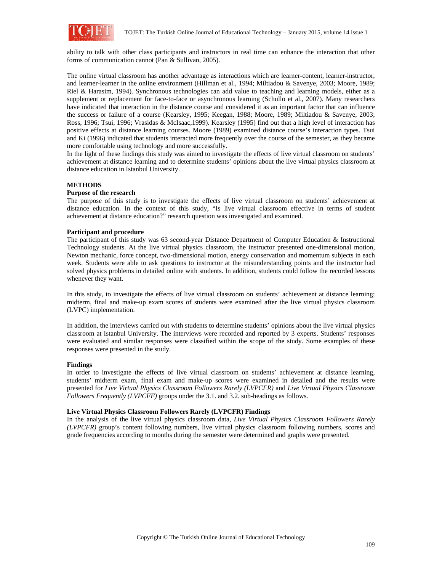

ability to talk with other class participants and instructors in real time can enhance the interaction that other forms of communication cannot (Pan & Sullivan, 2005).

The online virtual classroom has another advantage as interactions which are learner-content, learner-instructor, and learner-learner in the online environment (Hillman et al., 1994; Miltiadou & Savenye, 2003; Moore, 1989; Riel & Harasim, 1994). Synchronous technologies can add value to teaching and learning models, either as a supplement or replacement for face-to-face or asynchronous learning (Schullo et al., 2007). Many researchers have indicated that interaction in the distance course and considered it as an important factor that can influence the success or failure of a course (Kearsley, 1995; Keegan, 1988; Moore, 1989; Miltiadou & Savenye, 2003; Ross, 1996; Tsui, 1996; Vrasidas & McIsaac,1999). Kearsley (1995) find out that a high level of interaction has positive effects at distance learning courses. Moore (1989) examined distance course's interaction types. Tsui and Ki (1996) indicated that students interacted more frequently over the course of the semester, as they became more comfortable using technology and more successfully.

In the light of these findings this study was aimed to investigate the effects of live virtual classroom on students' achievement at distance learning and to determine students' opinions about the live virtual physics classroom at distance education in Istanbul University.

# **METHODS**

#### **Purpose of the research**

The purpose of this study is to investigate the effects of live virtual classroom on students' achievement at distance education. In the context of this study, "Is live virtual classroom effective in terms of student achievement at distance education?" research question was investigated and examined.

#### **Participant and procedure**

The participant of this study was 63 second-year Distance Department of Computer Education & Instructional Technology students. At the live virtual physics classroom, the instructor presented one-dimensional motion, Newton mechanic, force concept, two-dimensional motion, energy conservation and momentum subjects in each week. Students were able to ask questions to instructor at the misunderstanding points and the instructor had solved physics problems in detailed online with students. In addition, students could follow the recorded lessons whenever they want.

In this study, to investigate the effects of live virtual classroom on students' achievement at distance learning; midterm, final and make-up exam scores of students were examined after the live virtual physics classroom (LVPC) implementation.

In addition, the interviews carried out with students to determine students' opinions about the live virtual physics classroom at Istanbul University. The interviews were recorded and reported by 3 experts. Students' responses were evaluated and similar responses were classified within the scope of the study. Some examples of these responses were presented in the study.

#### **Findings**

In order to investigate the effects of live virtual classroom on students' achievement at distance learning, students' midterm exam, final exam and make-up scores were examined in detailed and the results were presented for *Live Virtual Physics Classroom Followers Rarely (LVPCFR)* and *Live Virtual Physics Classroom Followers Frequently (LVPCFF)* groups under the 3.1. and 3.2. sub-headings as follows.

#### **Live Virtual Physics Classroom Followers Rarely (LVPCFR) Findings**

In the analysis of the live virtual physics classroom data, *Live Virtual Physics Classroom Followers Rarely (LVPCFR)* group's content following numbers, live virtual physics classroom following numbers, scores and grade frequencies according to months during the semester were determined and graphs were presented.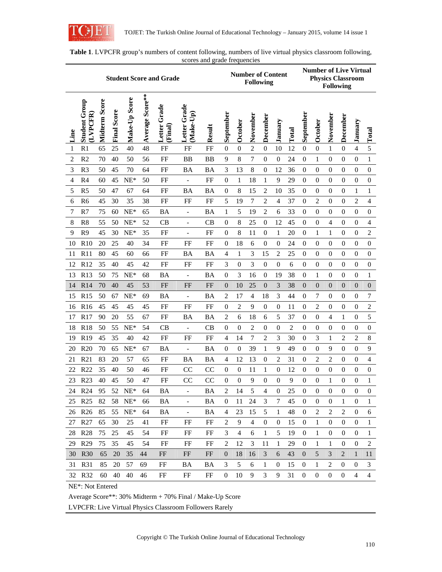

| <b>Student Score and Grade</b> |                                 |               |                    |               |                 |                            |                              |             |                  | <b>Number of Content</b> | <b>Following</b> |                  |                  |                | <b>Number of Live Virtual</b><br><b>Physics Classroom</b><br><b>Following</b> |                  |                  |                  |                  |                  |
|--------------------------------|---------------------------------|---------------|--------------------|---------------|-----------------|----------------------------|------------------------------|-------------|------------------|--------------------------|------------------|------------------|------------------|----------------|-------------------------------------------------------------------------------|------------------|------------------|------------------|------------------|------------------|
| Line                           | <b>Student Group</b><br>LVPCFR) | Midterm Score | <b>Final Score</b> | Make-Up Score | Average Score** | Grade<br>Letter<br>(Final) | Letter Grade<br>Make-Up      | Result      | September        | October                  | November         | December         | January          | Total          | September                                                                     | October          | November         | December         | January          | Total            |
| 1                              | R1                              | 65            | 25                 | 40            | 48              | FF                         | FF                           | FF          | $\overline{0}$   | $\boldsymbol{0}$         | 2                | $\mathbf{0}$     | 10               | 12             | $\mathbf{0}$                                                                  | $\boldsymbol{0}$ | 1                | $\boldsymbol{0}$ | $\overline{4}$   | $\sqrt{5}$       |
| 2                              | R <sub>2</sub>                  | 70            | 40                 | 50            | 56              | FF                         | ΒB                           | ΒB          | 9                | 8                        | 7                | $\mathbf{0}$     | $\overline{0}$   | 24             | $\overline{0}$                                                                | $\mathbf{1}$     | $\overline{0}$   | $\theta$         | $\mathbf{0}$     | $\mathbf{1}$     |
| 3                              | R <sub>3</sub>                  | 50            | 45                 | 70            | 64              | FF                         | BA                           | BA          | 3                | 13                       | 8                | $\boldsymbol{0}$ | 12               | 36             | $\overline{0}$                                                                | $\boldsymbol{0}$ | $\overline{0}$   | $\theta$         | $\boldsymbol{0}$ | $\mathbf{0}$     |
| 4                              | R <sub>4</sub>                  | 60            | 45                 | $NE*$         | 50              | FF                         | $\overline{\phantom{a}}$     | FF          | $\mathbf{0}$     | 1                        | 18               | 1                | 9                | 29             | $\boldsymbol{0}$                                                              | $\mathbf{0}$     | $\boldsymbol{0}$ | $\mathbf{0}$     | $\mathbf{0}$     | $\mathbf{0}$     |
| 5                              | R <sub>5</sub>                  | 50            | 47                 | 67            | 64              | FF                         | <b>BA</b>                    | BA          | $\mathbf{0}$     | 8                        | 15               | 2                | 10               | 35             | $\overline{0}$                                                                | $\boldsymbol{0}$ | $\boldsymbol{0}$ | $\boldsymbol{0}$ | $\mathbf{1}$     | 1                |
| 6                              | R <sub>6</sub>                  | 45            | 30                 | 35            | 38              | FF                         | FF                           | FF          | 5                | 19                       | $\tau$           | $\overline{c}$   | $\overline{4}$   | 37             | 0                                                                             | 2                | $\boldsymbol{0}$ | $\mathbf{0}$     | $\overline{2}$   | $\overline{4}$   |
| 7                              | R7                              | 75            | 60                 | $NE*$         | 65              | <b>BA</b>                  | $\overline{\phantom{a}}$     | BA          | 1                | 5                        | 19               | 2                | 6                | 33             | $\mathbf{0}$                                                                  | $\overline{0}$   | $\overline{0}$   | $\mathbf{0}$     | $\mathbf{0}$     | $\boldsymbol{0}$ |
| 8                              | R <sub>8</sub>                  | 55            | 50                 | $NE*$         | 52              | CB                         | $\overline{\phantom{a}}$     | CB          | $\mathbf{0}$     | 8                        | 25               | $\boldsymbol{0}$ | 12               | 45             | $\overline{0}$                                                                | $\boldsymbol{0}$ | $\overline{4}$   | $\mathbf{0}$     | $\boldsymbol{0}$ | 4                |
| 9                              | R <sub>9</sub>                  | 45            | 30                 | $NE*$         | 35              | FF                         | $\frac{1}{2}$                | FF          | $\overline{0}$   | 8                        | 11               | $\mathbf{0}$     | 1                | 20             | $\overline{0}$                                                                | $\mathbf{1}$     | $\mathbf{1}$     | $\mathbf{0}$     | $\mathbf{0}$     | $\overline{c}$   |
| 10                             | R10                             | 20            | 25                 | 40            | 34              | FF                         | FF                           | FF          | $\overline{0}$   | 18                       | 6                | $\boldsymbol{0}$ | $\overline{0}$   | 24             | $\overline{0}$                                                                | $\boldsymbol{0}$ | $\boldsymbol{0}$ | $\mathbf{0}$     | $\boldsymbol{0}$ | $\boldsymbol{0}$ |
| 11                             | R11                             | 80            | 45                 | 60            | 66              | FF                         | BA                           | BA          | 4                | 1                        | 3                | 15               | $\overline{2}$   | 25             | 0                                                                             | $\mathbf{0}$     | $\overline{0}$   | $\mathbf{0}$     | $\boldsymbol{0}$ | $\mathbf{0}$     |
| 12                             | R12                             | 35            | 40                 | 45            | 42              | FF                         | FF                           | FF          | 3                | $\boldsymbol{0}$         | 3                | $\mathbf{0}$     | $\boldsymbol{0}$ | 6              | $\boldsymbol{0}$                                                              | $\boldsymbol{0}$ | $\boldsymbol{0}$ | $\boldsymbol{0}$ | $\boldsymbol{0}$ | $\boldsymbol{0}$ |
| 13                             | R13                             | 50            | 75                 | $NE^*$        | 68              | <b>BA</b>                  | $\overline{\phantom{a}}$     | BA          | $\mathbf{0}$     | 3                        | 16               | $\mathbf{0}$     | 19               | 38             | $\overline{0}$                                                                | 1                | $\boldsymbol{0}$ | $\mathbf{0}$     | $\boldsymbol{0}$ | 1                |
| 14                             | R14                             | 70            | 40                 | 45            | 53              | FF                         | FF                           | FF          | $\boldsymbol{0}$ | 10                       | 25               | $\boldsymbol{0}$ | 3                | 38             | $\overline{0}$                                                                | $\boldsymbol{0}$ | $\overline{0}$   | $\boldsymbol{0}$ | $\boldsymbol{0}$ | $\boldsymbol{0}$ |
| 15                             | R15                             | 50            | 67                 | $NE*$         | 69              | <b>BA</b>                  | $\overline{\phantom{a}}$     | BA          | 2                | 17                       | 4                | 18               | 3                | 44             | $\boldsymbol{0}$                                                              | 7                | $\overline{0}$   | $\boldsymbol{0}$ | $\boldsymbol{0}$ | 7                |
| 16                             | R <sub>16</sub>                 | 45            | 45                 | 45            | 45              | FF                         | FF                           | FF          | $\overline{0}$   | $\overline{2}$           | 9                | $\boldsymbol{0}$ | $\overline{0}$   | 11             | $\boldsymbol{0}$                                                              | $\overline{2}$   | $\overline{0}$   | $\mathbf{0}$     | $\overline{0}$   | $\overline{c}$   |
| 17                             | R17                             | 90            | 20                 | 55            | 67              | FF                         | BA                           | BA          | $\overline{2}$   | 6                        | 18               | 6                | 5                | 37             | $\overline{0}$                                                                | $\mathbf{0}$     | 4                | 1                | $\boldsymbol{0}$ | 5                |
| 18                             | <b>R18</b>                      | 50            | 55                 | $NE^*$        | 54              | CB                         | $\overline{\phantom{a}}$     | CB          | $\mathbf{0}$     | $\mathbf{0}$             | 2                | $\boldsymbol{0}$ | $\overline{0}$   | $\overline{c}$ | $\boldsymbol{0}$                                                              | $\overline{0}$   | $\boldsymbol{0}$ | $\mathbf{0}$     | $\boldsymbol{0}$ | $\boldsymbol{0}$ |
| 19                             | R <sub>19</sub>                 | 45            | 35                 | 40            | 42              | FF                         | FF                           | FF          | 4                | 14                       | 7                | 2                | 3                | 30             | $\overline{0}$                                                                | 3                | 1                | 2                | $\overline{c}$   | $\,8\,$          |
| 20                             | R20                             | 70            | 65                 | $NE^*$        | 67              | BA                         | $\blacksquare$               | ΒA          | $\mathbf{0}$     | $\mathbf{0}$             | 39               | 1                | 9                | 49             | $\overline{0}$                                                                | $\mathbf{0}$     | 9                | $\mathbf{0}$     | $\boldsymbol{0}$ | $\overline{9}$   |
| 21                             | R21                             | 83            | 20                 | 57            | 65              | FF                         | BA                           | BA          | 4                | 12                       | 13               | $\boldsymbol{0}$ | $\overline{2}$   | 31             | $\overline{0}$                                                                | 2                | $\overline{2}$   | $\mathbf{0}$     | $\mathbf{0}$     | $\overline{4}$   |
| 22                             | R <sub>22</sub>                 | 35            | 40                 | 50            | 46              | FF                         | CC                           | $_{\rm CC}$ | $\mathbf{0}$     | $\mathbf{0}$             | 11               | 1                | $\boldsymbol{0}$ | 12             | $\boldsymbol{0}$                                                              | $\boldsymbol{0}$ | $\boldsymbol{0}$ | $\mathbf{0}$     | $\boldsymbol{0}$ | $\mathbf{0}$     |
| 23                             | R <sub>23</sub>                 | 40            | 45                 | 50            | 47              | FF                         | CC                           | CC          | $\overline{0}$   | $\mathbf{0}$             | 9                | 0                | $\Omega$         | 9              | $\overline{0}$                                                                | $\overline{0}$   | 1                | $\mathbf{0}$     | $\mathbf{0}$     | 1                |
| 24                             | R <sub>24</sub>                 | 95            | 52                 | $NE^*$        | 64              | BА                         | $\qquad \qquad \blacksquare$ | ВA          | 2                | 14                       | 5                | 4                | $\theta$         | 25             | $\boldsymbol{0}$                                                              | $\boldsymbol{0}$ | $\boldsymbol{0}$ | $\bf{0}$         | 0                | $\boldsymbol{0}$ |
| 25                             | R <sub>25</sub>                 | 82            | 58                 | $NE^*$        | 66              | BA                         | $\qquad \qquad \blacksquare$ | BA          | $\overline{0}$   | 11                       | 24               | 3                | 7                | 45             | $\overline{0}$                                                                | $\boldsymbol{0}$ | $\boldsymbol{0}$ | 1                | $\boldsymbol{0}$ | $\mathbf{1}$     |
| 26                             | R <sub>26</sub>                 | 85            | 55                 | $NE^*$        | 64              | BA                         | $\qquad \qquad -$            | <b>BA</b>   | 4                | 23                       | 15               | 5                | 1                | 48             | 0                                                                             | 2                | $\overline{c}$   | $\sqrt{2}$       | $\boldsymbol{0}$ | 6                |
| 27                             | R27                             | 65            | 30                 | 25            | 41              | FF                         | FF                           | FF          | 2                | 9                        | $\overline{4}$   | $\boldsymbol{0}$ | $\boldsymbol{0}$ | 15             | 0                                                                             | 1                | $\boldsymbol{0}$ | $\boldsymbol{0}$ | $\boldsymbol{0}$ | 1                |
| 28                             | <b>R28</b>                      | 75            | 25                 | 45            | 54              | FF                         | FF                           | FF          | 3                | 4                        | 6                | 1                | 5                | 19             | $\boldsymbol{0}$                                                              | 1                | $\boldsymbol{0}$ | $\boldsymbol{0}$ | $\boldsymbol{0}$ | 1                |
| 29                             | R <sub>29</sub>                 | 75            | 35                 | 45            | 54              | FF                         | FF                           | FF          | $\overline{2}$   | 12                       | 3                | 11               | 1                | 29             | 0                                                                             | 1                | 1                | $\mathbf 0$      | 0                | 2                |
| 30                             | <b>R30</b>                      | 65            | 20                 | 35            | 44              | FF                         | FF                           | FF          | $\overline{0}$   | 18                       | 16               | 3                | 6                | 43             | 0                                                                             | 5                | 3                | $\overline{2}$   | 1                | 11               |
| 31                             | <b>R31</b>                      | 85            | 20                 | 57            | 69              | FF                         | BA                           | BA          | 3                | 5                        | 6                | 1                | $\bf{0}$         | 15             | 0                                                                             | 1                | 2                | $\boldsymbol{0}$ | 0                | 3                |
|                                | 32 R32                          | 60            | 40                 | 40            | 46              | FF                         | FF                           | FF          | $\boldsymbol{0}$ | 10                       | 9                | 3                | 9                | 31             | 0                                                                             | $\boldsymbol{0}$ | 0                | $\boldsymbol{0}$ | 4                | 4                |
|                                | NE*: Not Entered                |               |                    |               |                 |                            |                              |             |                  |                          |                  |                  |                  |                |                                                                               |                  |                  |                  |                  |                  |

**Table 1**. LVPCFR group's numbers of content following, numbers of live virtual physics classroom following, scores and grade frequencies

Average Score\*\*: 30% Midterm + 70% Final / Make-Up Score

LVPCFR: Live Virtual Physics Classroom Followers Rarely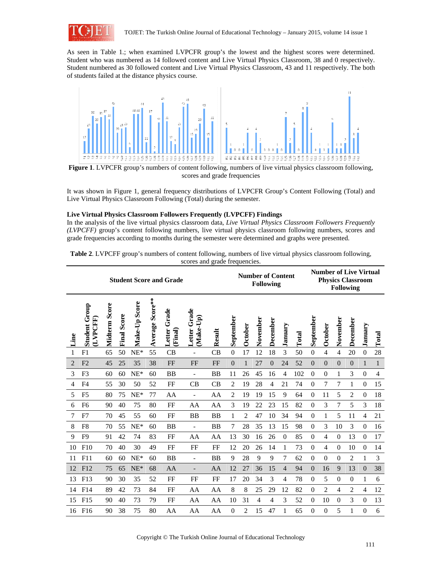

As seen in Table 1.; when examined LVPCFR group's the lowest and the highest scores were determined. Student who was numbered as 14 followed content and Live Virtual Physics Classroom, 38 and 0 respectively. Student numbered as 30 followed content and Live Virtual Physics Classroom, 43 and 11 respectively. The both of students failed at the distance physics course.



scores and grade frequencies

It was shown in Figure 1, general frequency distributions of LVPCFR Group's Content Following (Total) and Live Virtual Physics Classroom Following (Total) during the semester.

# **Live Virtual Physics Classroom Followers Frequently (LVPCFF) Findings**

In the analysis of the live virtual physics classroom data, *Live Virtual Physics Classroom Followers Frequently (LVPCFF)* group's content following numbers, live virtual physics classroom following numbers, scores and grade frequencies according to months during the semester were determined and graphs were presented.

| Table 2. LVPCFF group's numbers of content following, numbers of live virtual physics classroom following, |
|------------------------------------------------------------------------------------------------------------|
| scores and grade frequencies.                                                                              |

|                | <b>Student Score and Grade</b> |               |             |               |                 |                           |                           |           |                  |                | <b>Number of Content</b><br><b>Following</b> |                 |                |       |                  |                | <b>Number of Live Virtual</b><br><b>Physics Classroom</b><br><b>Following</b> |                |                  |                |  |  |
|----------------|--------------------------------|---------------|-------------|---------------|-----------------|---------------------------|---------------------------|-----------|------------------|----------------|----------------------------------------------|-----------------|----------------|-------|------------------|----------------|-------------------------------------------------------------------------------|----------------|------------------|----------------|--|--|
| Line           | <b>Student Group</b><br>LVPCFF | Midterm Score | Final Score | Make-Up Score | Average Score** | Grade<br>Letter<br>Final) | Letter Grade<br>(Make-Up) | Result    | September        | October        | November                                     | <b>December</b> | January        | Total | September        | October        | November                                                                      | December       | January          | Total          |  |  |
| 1              | F1                             | 65            | 50          | $NE*$         | 55              | CB                        | $\overline{\phantom{a}}$  | CB        | $\boldsymbol{0}$ | 17             | 12                                           | 18              | 3              | 50    | $\boldsymbol{0}$ | $\overline{4}$ | $\overline{4}$                                                                | 20             | $\boldsymbol{0}$ | 28             |  |  |
| $\overline{2}$ | F <sub>2</sub>                 | 45            | 25          | 35            | 38              | FF                        | FF                        | FF        | $\theta$         | $\mathbf{1}$   | 27                                           | $\Omega$        | 24             | 52    | $\overline{0}$   | $\Omega$       | $\overline{0}$                                                                | $\Omega$       | 1                | $\mathbf{1}$   |  |  |
| 3              | F <sub>3</sub>                 | 60            | 60          | $NE^*$        | 60              | <b>BB</b>                 | ۰                         | <b>BB</b> | 11               | 26             | 45                                           | 16              | $\overline{4}$ | 102   | $\boldsymbol{0}$ | $\theta$       | 1                                                                             | 3              | $\boldsymbol{0}$ | $\overline{4}$ |  |  |
| 4              | F <sub>4</sub>                 | 55            | 30          | 50            | 52              | FF                        | CB                        | CB        | 2                | 19             | 28                                           | $\overline{4}$  | 21             | 74    | $\mathbf{0}$     | 7              | 7                                                                             | 1              | $\overline{0}$   | 15             |  |  |
| 5              | F <sub>5</sub>                 | 80            | 75          | $NE*$         | 77              | AA                        | $\overline{\phantom{a}}$  | AA        | 2                | 19             | 19                                           | 15              | 9              | 64    | $\mathbf{0}$     | 11             | 5                                                                             | $\overline{c}$ | $\overline{0}$   | 18             |  |  |
| 6              | F <sub>6</sub>                 | 90            | 40          | 75            | 80              | FF                        | AA                        | AA        | 3                | 19             | 22                                           | 23              | 15             | 82    | $\mathbf{0}$     | 3              | 7                                                                             | 5              | 3                | 18             |  |  |
| 7              | F7                             | 70            | 45          | 55            | 60              | FF                        | <b>BB</b>                 | <b>BB</b> | 1                | $\overline{2}$ | 47                                           | 10              | 34             | 94    | $\overline{0}$   | 1              | 5                                                                             | 11             | $\overline{4}$   | 21             |  |  |
| 8              | F <sub>8</sub>                 | 70            | 55          | $NE*$         | 60              | <b>BB</b>                 | $\overline{a}$            | <b>BB</b> | 7                | 28             | 35                                           | 13              | 15             | 98    | $\mathbf{0}$     | 3              | 10                                                                            | 3              | $\boldsymbol{0}$ | 16             |  |  |
| 9              | F <sub>9</sub>                 | 91            | 42          | 74            | 83              | FF                        | AA                        | AA        | 13               | 30             | 16                                           | 26              | $\Omega$       | 85    | $\mathbf{0}$     | $\overline{4}$ | $\overline{0}$                                                                | 13             | $\overline{0}$   | 17             |  |  |
| 10             | F10                            | 70            | 40          | 30            | 49              | FF                        | FF                        | FF        | 12               | 20             | 26                                           | 14              | 1              | 73    | $\mathbf{0}$     | 4              | $\boldsymbol{0}$                                                              | 10             | $\boldsymbol{0}$ | 14             |  |  |
| 11             | F11                            | 60            | 60          | $NE*$         | 60              | <b>BB</b>                 | $\overline{\phantom{0}}$  | <b>BB</b> | 9                | 28             | 9                                            | 9               | 7              | 62    | $\mathbf{0}$     | $\mathbf{0}$   | $\mathbf{0}$                                                                  | 2              | 1                | 3              |  |  |
| 12             | F12                            | 75            | 65          | $NE^*$        | 68              | AA                        | $\qquad \qquad -$         | AA        | 12               | 27             | 36                                           | 15              | $\overline{4}$ | 94    | $\mathbf{0}$     | 16             | 9                                                                             | 13             | $\overline{0}$   | 38             |  |  |
| 13             | F13                            | 90            | 30          | 35            | 52              | FF                        | FF                        | FF        | 17               | 20             | 34                                           | 3               | 4              | 78    | $\mathbf{0}$     | 5              | $\overline{0}$                                                                | $\Omega$       | 1                | 6              |  |  |
| 14             | F14                            | 89            | 42          | 73            | 84              | FF                        | AA                        | AA        | 8                | 8              | 25                                           | 29              | 12             | 82    | $\mathbf{0}$     | $\overline{2}$ | 4                                                                             | 2              | 4                | 12             |  |  |
| 15             | F15                            | 90            | 40          | 73            | 79              | FF                        | AA                        | AA        | 10               | 31             | 4                                            | 4               | 3              | 52    | $\boldsymbol{0}$ | 10             | $\mathbf{0}$                                                                  | 3              | $\boldsymbol{0}$ | 13             |  |  |
| 16             | F16                            | 90            | 38          | 75            | 80              | AA                        | AA                        | AA        | 0                | 2              | 15                                           | 47              | 1              | 65    | $\Omega$         | $\Omega$       | 5                                                                             | 1              | $\overline{0}$   | 6              |  |  |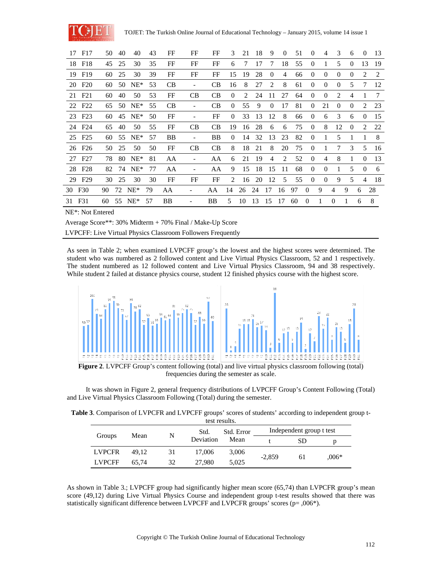

|        | 17 F17             | 50 | 40 | 40                 | 43 | FF        | FF                       | FF | 3              | 21 | 18 | 9              | $\Omega$ | 51 | $\Omega$       | $\overline{4}$ | $\mathcal{R}$ | 6             | $\Omega$ | 13 |
|--------|--------------------|----|----|--------------------|----|-----------|--------------------------|----|----------------|----|----|----------------|----------|----|----------------|----------------|---------------|---------------|----------|----|
|        | 18 F18             | 45 | 25 | 30                 | 35 | FF        | FF                       | FF | 6              | 7  | 17 | 7              | 18       | 55 | $\Omega$       |                | 5             | $\Omega$      | 13       | 19 |
|        | 19 F19             | 60 | 25 | 30                 | 39 | FF        | FF                       | FF | 15             | 19 | 28 | $\theta$       | 4        | 66 | $\theta$       | $\theta$       | $\theta$      | $\theta$      | 2        | 2  |
|        | 20 F <sub>20</sub> | 60 | 50 | $NE^*$             | 53 | CB        | $\overline{\phantom{a}}$ | CB | 16             | 8  | 27 | 2              | 8        | 61 | $\theta$       | $\theta$       | $\Omega$      | 5             | 7        | 12 |
|        | 21 F <sub>21</sub> | 60 | 40 | 50                 | 53 | FF        | CB                       | CB | $\Omega$       | 2  | 24 | 11             | 27       | 64 | $\Omega$       | $\theta$       | 2             | 4             |          | 7  |
|        | 22 F <sub>22</sub> | 65 | 50 | $NE^*$             | 55 | <b>CB</b> | $\overline{\phantom{0}}$ | CB | $\Omega$       | 55 | 9  | $\theta$       | 17       | 81 | $\theta$       | 21             | $\Omega$      | $\theta$      | 2        | 23 |
|        | 23 F <sub>23</sub> | 60 |    | 45 NE <sup>*</sup> | 50 | FF        | -                        | FF | $\Omega$       | 33 | 13 | 12             | 8        | 66 | $\theta$       | 6              | 3             | 6             | $\Omega$ | 15 |
|        | 24 F <sub>24</sub> | 65 | 40 | 50                 | 55 | FF        | <b>CB</b>                | CB | 19             | 16 | 28 | 6              | 6        | 75 | $\Omega$       | 8              | 12            | $\Omega$      | 2        | 22 |
|        | 25 F25             | 60 | 55 | $NE^*$             | 57 | BB        | -                        | BB | $\Omega$       | 14 | 32 | 13             | 23       | 82 | $\Omega$       |                | 5             |               | 1        | 8  |
|        | 26 F <sub>26</sub> | 50 | 25 | 50                 | 50 | FF        | CB                       | CB | 8              | 18 | 21 | 8              | 20       | 75 | $\Omega$       | 1              | 7             | $\mathcal{R}$ | 5        | 16 |
|        | 27 F <sub>27</sub> | 78 | 80 | $NE^*$             | 81 | AA        | $\overline{\phantom{a}}$ | AA | 6              | 21 | 19 | $\overline{4}$ | 2        | 52 | $\Omega$       | $\overline{4}$ | 8             | 1             | $\Omega$ | 13 |
|        | 28 F28             | 82 | 74 | $NE^*$             | 77 | AA        | -                        | AA | 9              | 15 | 18 | 15             | 11       | 68 | $\theta$       | $\Omega$       | 1             | 5             | $\theta$ | 6  |
|        | 29 F <sub>29</sub> | 30 | 25 | 30                 | 30 | FF        | FF                       | FF | $\mathfrak{D}$ | 16 | 20 | 12             | 5        | 55 | $\Omega$       | $\Omega$       | 9             | 5             | 4        | 18 |
|        | 30 F30             | 90 |    | 72 NE*             | 79 | AA        | -                        | AA | 14             | 26 | 24 | 17             | 16       | 97 | $\theta$       | 9              | 4             | 9             | 6        | 28 |
| 31 F31 |                    | 60 | 55 | $NE^*$             | 57 | BB        |                          | BB | 5              | 10 | 13 | 15             | 17       | 60 | $\overline{0}$ | 1              | $\theta$      | 1             | 6        | 8  |

NE\*: Not Entered

Average Score\*\*: 30% Midterm + 70% Final / Make-Up Score

LVPCFF: Live Virtual Physics Classroom Followers Frequently

As seen in Table 2; when examined LVPCFF group's the lowest and the highest scores were determined. The student who was numbered as 2 followed content and Live Virtual Physics Classroom, 52 and 1 respectively. The student numbered as 12 followed content and Live Virtual Physics Classroom, 94 and 38 respectively. While student 2 failed at distance physics course, student 12 finished physics course with the highest score.



 **Figure 2**. LVPCFF Group's content following (total) and live virtual physics classroom following (total) frequencies during the semester as scale.

 It was shown in Figure 2, general frequency distributions of LVPCFF Group's Content Following (Total) and Live Virtual Physics Classroom Following (Total) during the semester.

|  |  | Table 3. Comparison of LVPCFR and LVPCFF groups' scores of students' according to independent group t- |  |
|--|--|--------------------------------------------------------------------------------------------------------|--|
|  |  |                                                                                                        |  |

| test results. |       |    |           |            |                          |    |         |  |  |  |  |
|---------------|-------|----|-----------|------------|--------------------------|----|---------|--|--|--|--|
|               | Mean  | N  | Std.      | Std. Error | Independent group t test |    |         |  |  |  |  |
| Groups        |       |    | Deviation | Mean       |                          | SD | p       |  |  |  |  |
| <b>LVPCFR</b> | 49.12 | 31 | 17,006    | 3,006      |                          |    |         |  |  |  |  |
| <b>LVPCFF</b> | 65.74 | 32 | 27,980    | 5,025      | $-2.859$                 | 61 | $.006*$ |  |  |  |  |

As shown in Table 3.; LVPCFF group had significantly higher mean score (65,74) than LVPCFR group's mean score (49,12) during Live Virtual Physics Course and independent group t-test results showed that there was statistically significant difference between LVPCFF and LVPCFR groups' scores (p= ,006\*).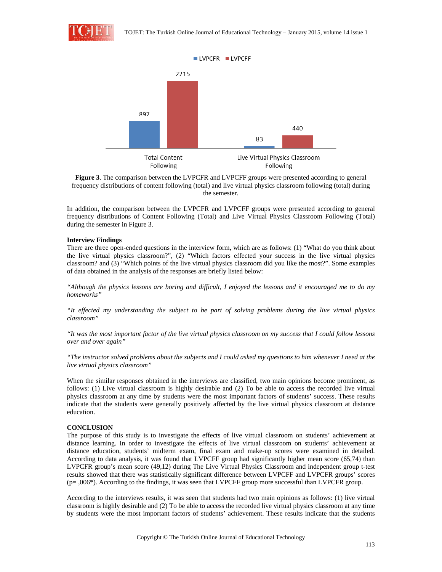

**Figure 3**. The comparison between the LVPCFR and LVPCFF groups were presented according to general frequency distributions of content following (total) and live virtual physics classroom following (total) during the semester.

In addition, the comparison between the LVPCFR and LVPCFF groups were presented according to general frequency distributions of Content Following (Total) and Live Virtual Physics Classroom Following (Total) during the semester in Figure 3.

#### **Interview Findings**

There are three open-ended questions in the interview form, which are as follows: (1) "What do you think about the live virtual physics classroom?", (2) "Which factors effected your success in the live virtual physics classroom? and (3) "Which points of the live virtual physics classroom did you like the most?". Some examples of data obtained in the analysis of the responses are briefly listed below:

*"Although the physics lessons are boring and difficult, I enjoyed the lessons and it encouraged me to do my homeworks"* 

*"It effected my understanding the subject to be part of solving problems during the live virtual physics classroom"* 

*"It was the most important factor of the live virtual physics classroom on my success that I could follow lessons over and over again"* 

*"The instructor solved problems about the subjects and I could asked my questions to him whenever I need at the live virtual physics classroom"* 

When the similar responses obtained in the interviews are classified, two main opinions become prominent, as follows: (1) Live virtual classroom is highly desirable and (2) To be able to access the recorded live virtual physics classroom at any time by students were the most important factors of students' success. These results indicate that the students were generally positively affected by the live virtual physics classroom at distance education.

# **CONCLUSION**

The purpose of this study is to investigate the effects of live virtual classroom on students' achievement at distance learning. In order to investigate the effects of live virtual classroom on students' achievement at distance education, students' midterm exam, final exam and make-up scores were examined in detailed. According to data analysis, it was found that LVPCFF group had significantly higher mean score (65,74) than LVPCFR group's mean score (49,12) during The Live Virtual Physics Classroom and independent group t-test results showed that there was statistically significant difference between LVPCFF and LVPCFR groups' scores  $(p=,006*)$ . According to the findings, it was seen that LVPCFF group more successful than LVPCFR group.

According to the interviews results, it was seen that students had two main opinions as follows: (1) live virtual classroom is highly desirable and (2) To be able to access the recorded live virtual physics classroom at any time by students were the most important factors of students' achievement. These results indicate that the students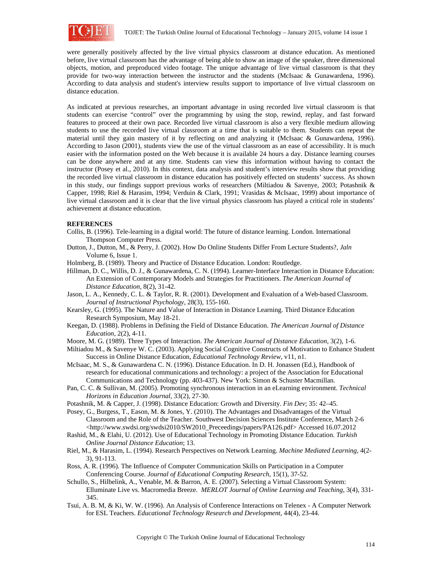

were generally positively affected by the live virtual physics classroom at distance education. As mentioned before, live virtual classroom has the advantage of being able to show an image of the speaker, three dimensional objects, motion, and preproduced video footage. The unique advantage of live virtual classroom is that they provide for two-way interaction between the instructor and the students (McIsaac & Gunawardena, 1996). According to data analysis and student's interview results support to importance of live virtual classroom on distance education.

As indicated at previous researches, an important advantage in using recorded live virtual classroom is that students can exercise "control" over the programming by using the stop, rewind, replay, and fast forward features to proceed at their own pace. Recorded live virtual classroom is also a very flexible medium allowing students to use the recorded live virtual classroom at a time that is suitable to them. Students can repeat the material until they gain mastery of it by reflecting on and analyzing it (McIsaac & Gunawardena, 1996). According to Jason (2001), students view the use of the virtual classroom as an ease of accessibility. It is much easier with the information posted on the Web because it is available 24 hours a day. Distance learning courses can be done anywhere and at any time. Students can view this information without having to contact the instructor (Posey et al., 2010). In this context, data analysis and student's interview results show that providing the recorded live virtual classroom in distance education has positively effected on students' success. As shown in this study, our findings support previous works of researchers (Miltiadou & Savenye, 2003; Potashnik & Capper, 1998; Riel & Harasim, 1994; Verduin & Clark, 1991; Vrasidas & McIsaac, 1999) about importance of live virtual classroom and it is clear that the live virtual physics classroom has played a critical role in students' achievement at distance education.

# **REFERENCES**

- Collis, B. (1996). Tele-learning in a digital world: The future of distance learning. London. International Thompson Computer Press.
- Dutton, J., Dutton, M., & Perry, J. (2002). How Do Online Students Differ From Lecture Students?, *Jaln* Volume 6, Issue 1.
- Holmberg, B. (1989). Theory and Practice of Distance Education. London: Routledge.
- Hillman, D. C., Willis, D. J., & Gunawardena, C. N. (1994). Learner-Interface Interaction in Distance Education: An Extension of Contemporary Models and Strategies for Practitioners. *The American Journal of Distance Education*, 8(2), 31-42.
- Jason, L. A., Kennedy, C. L. & Taylor, R. R. (2001). Development and Evaluation of a Web-based Classroom. *Journal of Instructional Psychology*, 28(3), 155-160.
- Kearsley, G. (1995). The Nature and Value of Interaction in Distance Learning. Third Distance Education Research Symposium, May 18-21.
- Keegan, D. (1988). Problems in Defining the Field of Distance Education. *The American Journal of Distance Education*, 2(2), 4-11.
- Moore, M. G. (1989). Three Types of Interaction. *The American Journal of Distance Education*, 3(2), 1-6.
- Miltiadou M., & Savenye W. C. (2003). Applying Social Cognitive Constructs of Motivation to Enhance Student Success in Online Distance Education, *Educational Technology Review*, v11, n1.
- McIsaac, M. S., & Gunawardena C. N. (1996). Distance Education. In D. H. Jonassen (Ed.), Handbook of research for educational communications and technology: a project of the Association for Educational Communications and Technology (pp. 403-437). New York: Simon & Schuster Macmillan.
- Pan, C. C. & Sullivan, M. (2005). Promoting synchronous interaction in an eLearning environment. *Technical Horizons in Education Journal*, 33(2), 27-30.
- Potashnik, M. & Capper, J. (1998). Distance Education: Growth and Diversity. *Fin Dev*; 35: 42–45.
- Posey, G., Burgess, T., Eason, M. & Jones, Y. (2010). The Advantages and Disadvantages of the Virtual Classroom and the Role of the Teacher. Southwest Decision Sciences Institute Conference, March 2-6 <http://www.swdsi.org/swdsi2010/SW2010\_Preceedings/papers/PA126.pdf> Accessed 16.07.2012
- Rashid, M., & Elahi, U. (2012). Use of Educational Technology in Promoting Distance Education. *Turkish Online Journal Distance Education*; 13.
- Riel, M., & Harasim, L. (1994). Research Perspectives on Network Learning. *Machine Mediated Learning*, 4(2- 3), 91-113.
- Ross, A. R. (1996). The Influence of Computer Communication Skills on Participation in a Computer Conferencing Course. *Journal of Educational Computing Research*, 15(1), 37-52.
- Schullo, S., Hilbelink, A., Venable, M. & Barron, A. E. (2007). Selecting a Virtual Classroom System: Elluminate Live vs. Macromedia Breeze. *MERLOT Journal of Online Learning and Teaching*, 3(4), 331- 345.
- Tsui, A. B. M, & Ki, W. W. (1996). An Analysis of Conference Interactions on Telenex A Computer Network for ESL Teachers. *Educational Technology Research and Development*, 44(4), 23-44.